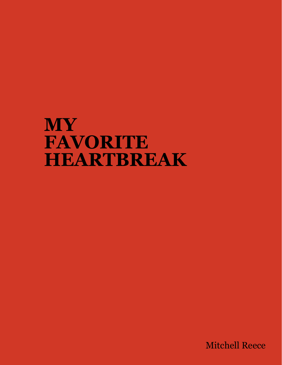## **MY FAVORITE HEARTBREAK**

Mitchell Reece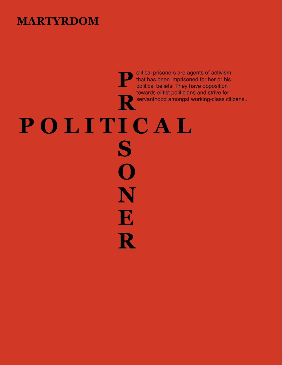## **MARTYRDOM**

## **P R I P O L I T C A L S O N E R** olitical prisoners are agents of activism that has been imprisoned for her or his political beliefs. They have opposition towards elitist politicians and strive for servanthood amongst working-class citizens..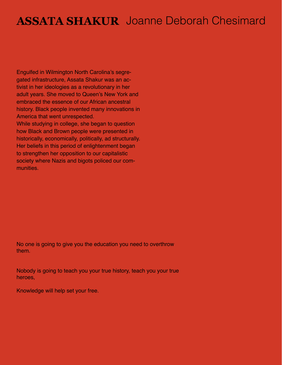## **ASSATA SHAKUR** Joanne Deborah Chesimard

Engulfed in Wilmington North Carolina's segregated infrastructure, Assata Shakur was an activist in her ideologies as a revolutionary in her adult years. She moved to Queen's New York and embraced the essence of our African ancestral history. Black people invented many innovations in America that went unrespected. While studying in college, she began to question how Black and Brown people were presented in historically, economically, politically, ad structurally. Her beliefs in this period of enlightenment began to strengthen her opposition to our capitalistic society where Nazis and bigots policed our communities.

No one is going to give you the education you need to overthrow them.

Nobody is going to teach you your true history, teach you your true heroes,

Knowledge will help set your free.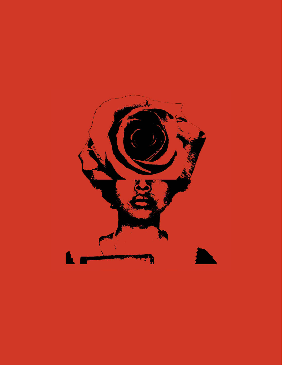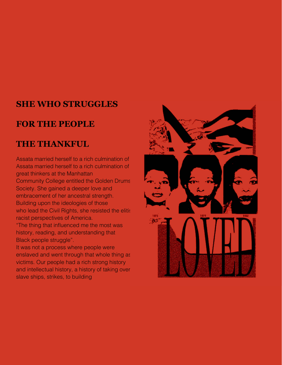### **SHE WHO STRUGGLES**

### **FOR THE PEOPLE**

### **THE THANKFUL**

Assata married herself to a rich culmination of Assata married herself to a rich culmination of great thinkers at the Manhattan Community College entitled the Golden Drums Society. She gained a deeper love and embracement of her ancestral strength. Building upon the ideologies of those who lead the Civil Rights, she resisted the elitistic racist perspectives of America.

"The thing that influenced me the most was history, reading, and understanding that Black people struggle".

It was not a process where people were enslaved and went through that whole thing as victims. Our people had a rich strong history and intellectual history, a history of taking over slave ships, strikes, to building

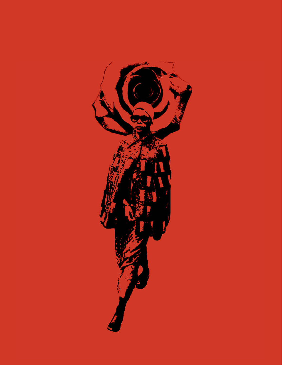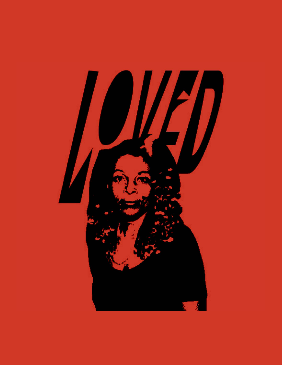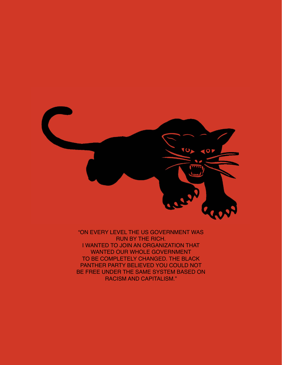

"ON EVERY LEVEL THE US GOVERNMENT WAS RUN BY THE RICH. I WANTED TO JOIN AN ORGANIZATION THAT WANTED OUR WHOLE GOVERNMENT TO BE COMPLETELY CHANGED. THE BLACK PANTHER PARTY BELIEVED YOU COULD NOT BE FREE UNDER THE SAME SYSTEM BASED ON RACISM AND CAPITALISM."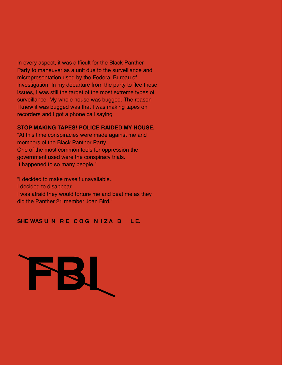In every aspect, it was difficult for the Black Panther Party to maneuver as a unit due to the surveillance and misrepresentation used by the Federal Bureau of Investigation. In my departure from the party to flee these issues, I was still the target of the most extreme types of surveillance. My whole house was bugged. The reason I knew it was bugged was that I was making tapes on recorders and I got a phone call saying

### **STOP MAKING TAPES! POLICE RAIDED MY HOUSE.**

"At this time conspiracies were made against me and members of the Black Panther Party. One of the most common tools for oppression the government used were the conspiracy trials. It happened to so many people."

"I decided to make myself unavailable.. I decided to disappear. I was afraid they would torture me and beat me as they did the Panther 21 member Joan Bird."

### **SHE WAS U N RE COG N IZA B LE.**

# **FBI**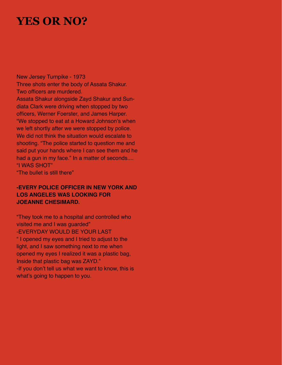## **YES OR NO?**

New Jersey Turnpike - 1973 Three shots enter the body of Assata Shakur. Two officers are murdered. Assata Shakur alongside Zayd Shakur and Sundiata Clark were driving when stopped by two officers, Werner Foerster, and James Harper. "We stopped to eat at a Howard Johnson's when we left shortly after we were stopped by police. We did not think the situation would escalate to shooting. "The police started to question me and said put your hands where I can see them and he had a gun in my face." In a matter of seconds.... "I WAS SHOT" "The bullet is still there"

### **-EVERY POLICE OFFICER IN NEW YORK AND LOS ANGELES WAS LOOKING FOR JOEANNE CHESIMARD.**

"They took me to a hospital and controlled who visited me and I was guarded" -EVERYDAY WOULD BE YOUR LAST " I opened my eyes and I tried to adjust to the light, and I saw something next to me when opened my eyes I realized it was a plastic bag, Inside that plastic bag was ZAYD." -If you don't tell us what we want to know, this is what's going to happen to you.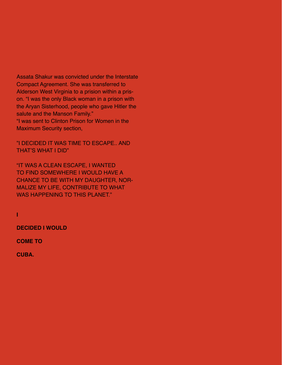Assata Shakur was convicted under the Interstate Compact Agreement. She was transferred to Alderson West Virginia to a prision within a prison. "I was the only Black woman in a prison with the Aryan Sisterhood, people who gave Hitler the salute and the Manson Family." "I was sent to Clinton Prison for Women in the Maximum Security section,

"I DECIDED IT WAS TIME TO ESCAPE.. AND THAT'S WHAT I DID"

"IT WAS A CLEAN ESCAPE, I WANTED TO FIND SOMEWHERE I WOULD HAVE A CHANCE TO BE WITH MY DAUGHTER, NOR-MALIZE MY LIFE, CONTRIBUTE TO WHAT WAS HAPPENING TO THIS PLANET."

**I**

**DECIDED I WOULD**

**COME TO**

**CUBA.**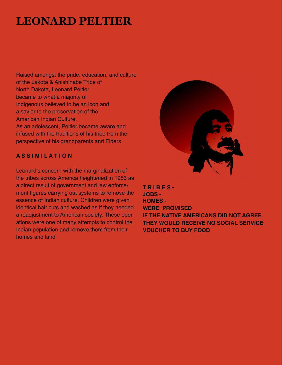## **LEONARD PELTIER**

Raised amongst the pride, education, and culture of the Lakota & Anishinabe Tribe of North Dakota, Leonard Peltier became to what a majority of Indigenous believed to be an icon and a savior to the preservation of the American Indian Culture. As an adolescent, Peltier became aware and infused with the traditions of his tribe from the perspective of his grandparents and Elders.

### **A S S I M I L A T I O N**

Leonard's concern with the marginalization of the tribes across America heightened in 1953 as a direct result of government and law enforcement figures carrying out systems to remove the essence of Indian culture. Children were given identical hair cuts and washed as if they needed a readjustment to American society. These operations were one of many attempts to control the Indian population and remove them from their homes and land.



**T R I B E S - JOBS - HOMES - WERE PROMISED IF THE NATIVE AMERICANS DID NOT AGREE THEY WOULD RECEIVE NO SOCIAL SERVICE VOUCHER TO BUY FOOD**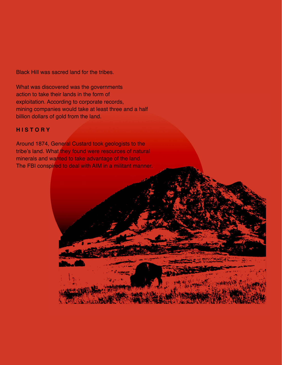Black Hill was sacred land for the tribes.

What was discovered was the governments action to take their lands in the form of exploitation. According to corporate records, mining companies would take at least three and a half billion dollars of gold from the land.

### **H I S T O R Y**

Around 1874, General Custard took geologists to the tribe's land. What they found were resources of natural minerals and wanted to take advantage of the land. The FBI conspired to deal with AIM in a militant manner.

**CARGINAL**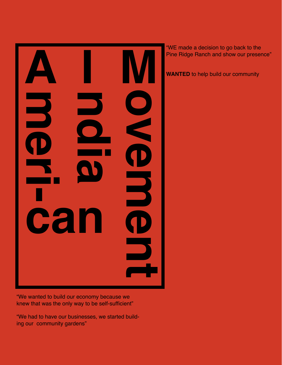

"WE made a decision to go back to the Pine Ridge Ranch and show our presence"

**WANTED** to help build our community

"We wanted to build our economy because we knew that was the only way to be self-sufficient"

"We had to have our businesses, we started building our community gardens"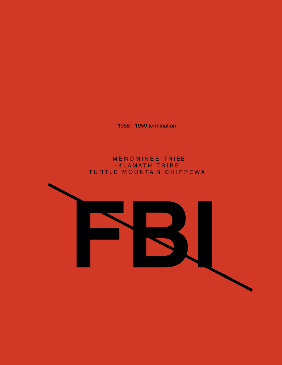

- MENOMINEE TRIBE - K L A M A T H T R I B E TURTLE MOUNTAIN CHIPPEWA

1958 - 1959 termination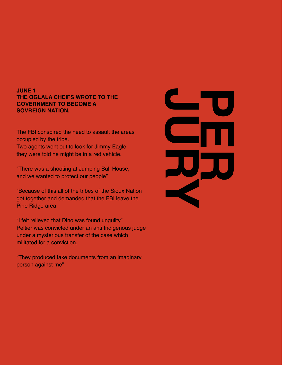### **JUNE 1 THE OGLALA CHEIFS WROTE TO THE GOVERNMENT TO BECOME A SOVREIGN NATION.**

The FBI conspired the need to assault the areas occupied by the tribe.

Two agents went out to look for Jimmy Eagle, they were told he might be in a red vehicle.

"There was a shooting at Jumping Bull House, and we wanted to protect our people"

"Because of this all of the tribes of the Sioux Nation got together and demanded that the FBI leave the Pine Ridge area.

"I felt relieved that Dino was found unguilty" Peltier was convicted under an anti Indigenous judge under a mysterious transfer of the case which militated for a conviction.

"They produced fake documents from an imaginary person against me"

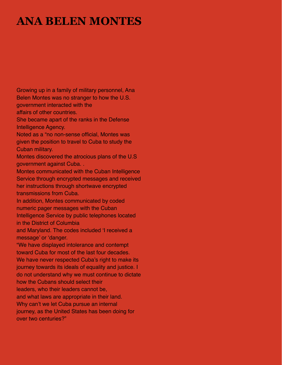## **ANA BELEN MONTES**

Growing up in a family of military personnel, Ana Belen Montes was no stranger to how the U.S. government interacted with the

affairs of other countries.

She became apart of the ranks in the Defense Intelligence Agency.

Noted as a "no non-sense official, Montes was given the position to travel to Cuba to study the Cuban military.

Montes discovered the atrocious plans of the U.S government against Cuba. .

Montes communicated with the Cuban Intelligence Service through encrypted messages and received her instructions through shortwave encrypted transmissions from Cuba.

In addition, Montes communicated by coded numeric pager messages with the Cuban Intelligence Service by public telephones located in the District of Columbia

and Maryland. The codes included 'I received a message' or 'danger.

"We have displayed intolerance and contempt toward Cuba for most of the last four decades. We have never respected Cuba's right to make its journey towards its ideals of equality and justice. I do not understand why we must continue to dictate how the Cubans should select their leaders, who their leaders cannot be, and what laws are appropriate in their land. Why can't we let Cuba pursue an internal journey, as the United States has been doing for over two centuries?"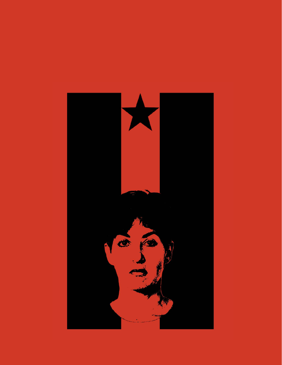